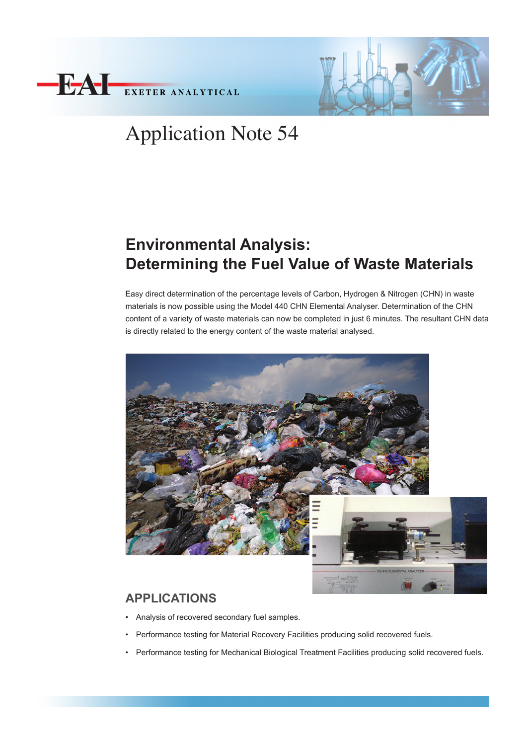



# Application Note 54

# **Environmental Analysis: Determining the Fuel Value of Waste Materials**

Easy direct determination of the percentage levels of Carbon, Hydrogen & Nitrogen (CHN) in waste materials is now possible using the Model 440 CHN Elemental Analyser. Determination of the CHN content of a variety of waste materials can now be completed in just 6 minutes. The resultant CHN data is directly related to the energy content of the waste material analysed.



### **APPLICATIONS**

- • Analysis of recovered secondary fuel samples.
- Performance testing for Material Recovery Facilities producing solid recovered fuels.
- Performance testing for Mechanical Biological Treatment Facilities producing solid recovered fuels.